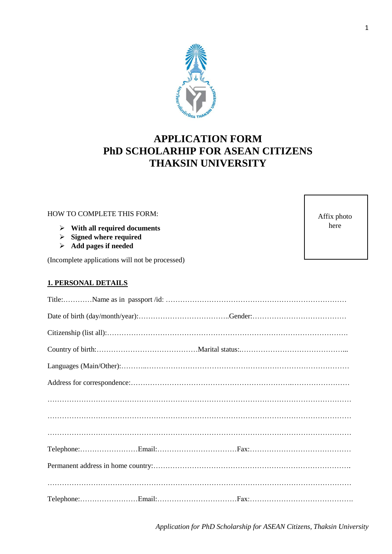

# **APPLICATION FORM PhD SCHOLARHIP FOR ASEAN CITIZENS THAKSIN UNIVERSITY**

# HOW TO COMPLETE THIS FORM:

- **With all required documents**
- **Signed where required**
- **Add pages if needed**

(Incomplete applications will not be processed)

## **1. PERSONAL DETAILS**

Affix photo here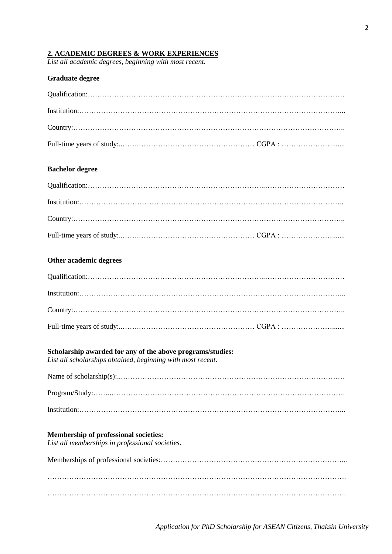## **2. ACADEMIC DEGREES & WORK EXPERIENCES**

*List all academic degrees, beginning with most recent.*

## **Graduate degree**

## **Bachelor degree**

#### **Other academic degrees**

#### **Scholarship awarded for any of the above programs/studies:**

*List all scholarships obtained, beginning with most recent.*

#### **Membership of professional societies:**

*List all memberships in professional societies.*

Memberships of professional societies:…………………………………………………………………...  $\mathcal{L}^{\text{max}}_{\text{max}}$ …………………………………………………………………………………………………………….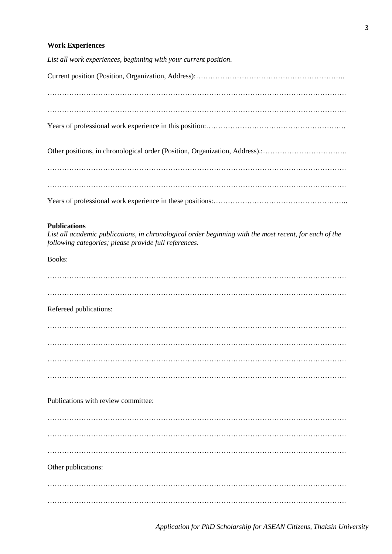#### **Work Experiences**

*List all work experiences, beginning with your current position.*

Current position (Position, Organization, Address):…………………………………………………….. ……………………………………………………………………………………………………………. ……………………………………………………………………………………………………………. Years of professional work experience in this position:…………………………………………………. Other positions, in chronological order (Position, Organization, Address).:…………………………….. ……………………………………………………………………………………………………………. ……………………………………………………………………………………………………………. Years of professional work experience in these positions:………………………………………………..

#### **Publications**

*List all academic publications, in chronological order beginning with the most recent, for each of the following categories; please provide full references.*

Books:

| Refereed publications:              |  |
|-------------------------------------|--|
|                                     |  |
|                                     |  |
|                                     |  |
|                                     |  |
| Publications with review committee: |  |
|                                     |  |
|                                     |  |
|                                     |  |
| Other publications:                 |  |
|                                     |  |
|                                     |  |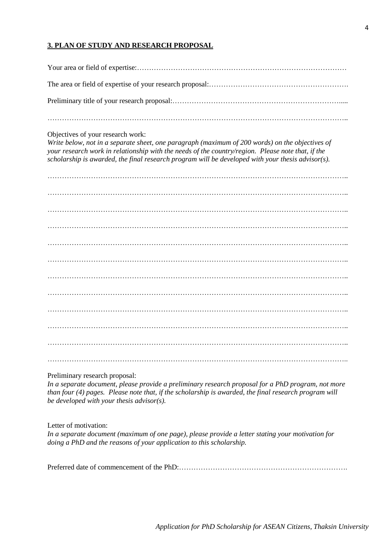## **3. PLAN OF STUDY AND RESEARCH PROPOSAL**

#### Objectives of your research work:

*Write below, not in a separate sheet, one paragraph (maximum of 200 words) on the objectives of your research work in relationship with the needs of the country/region. Please note that, if the scholarship is awarded, the final research program will be developed with your thesis advisor(s).*

…………………………………………………………………………………………………………….. …………………………………………………………………………………………………………….. …………………………………………………………………………………………………………….. …………………………………………………………………………………………………………….. …………………………………………………………………………………………………………….. …………………………………………………………………………………………………………….. …………………………………………………………………………………………………………….. …………………………………………………………………………………………………………….. …………………………………………………………………………………………………………….. …………………………………………………………………………………………………………….. ……………………………………………………………………………………………………………..

## Preliminary research proposal:

*In a separate document, please provide a preliminary research proposal for a PhD program, not more than four (4) pages. Please note that, if the scholarship is awarded, the final research program will be developed with your thesis advisor(s).*

Letter of motivation:

*In a separate document (maximum of one page), please provide a letter stating your motivation for doing a PhD and the reasons of your application to this scholarship.*

Preferred date of commencement of the PhD:…………………………………………………………….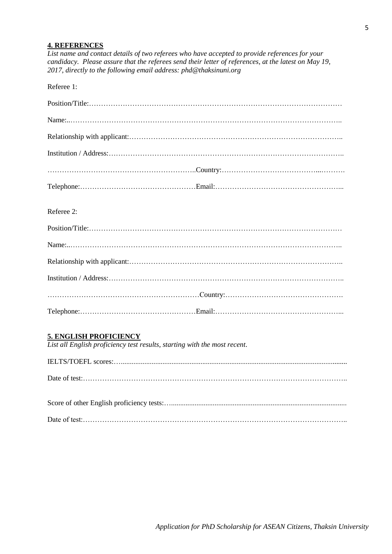#### **4. REFERENCES**

*List name and contact details of two referees who have accepted to provide references for your candidacy. Please assure that the referees send their letter of references, at the latest on May 19, 2017, directly to the following email address: phd@thaksinuni.org*

Referee 1:

## Referee 2:

# **5. ENGLISH PROFICIENCY**

*List all English proficiency test results, starting with the most recent.*

IELTS/TOEFL scores:…............................................................................................................................. Date of test:………………………………………………………………………………………………..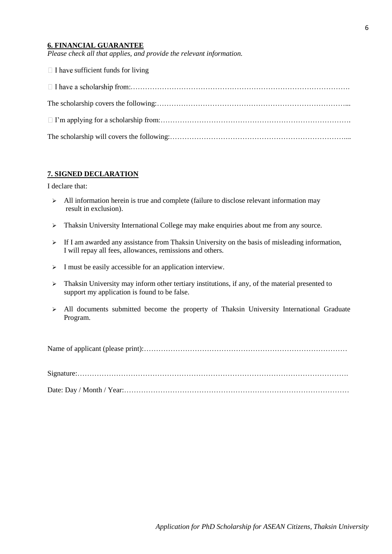## **6. FINANCIAL GUARANTEE**

*Please check all that applies, and provide the relevant information.*

| $\Box$ I have sufficient funds for living |
|-------------------------------------------|
|                                           |
|                                           |
|                                           |
|                                           |

## **7. SIGNED DECLARATION**

I declare that:

- $\triangleright$  All information herein is true and complete (failure to disclose relevant information may result in exclusion).
- $\triangleright$  Thaksin University International College may make enquiries about me from any source.
- $\triangleright$  If I am awarded any assistance from Thaksin University on the basis of misleading information, I will repay all fees, allowances, remissions and others.
- $\triangleright$  I must be easily accessible for an application interview.
- $\triangleright$  Thaksin University may inform other tertiary institutions, if any, of the material presented to support my application is found to be false.
- $\triangleright$  All documents submitted become the property of Thaksin University International Graduate Program.

Name of applicant (please print):…………………………………………………………………………

Signature:…………………………………………………………………………………………………. Date: Day / Month / Year:…………………………………………………………………………………